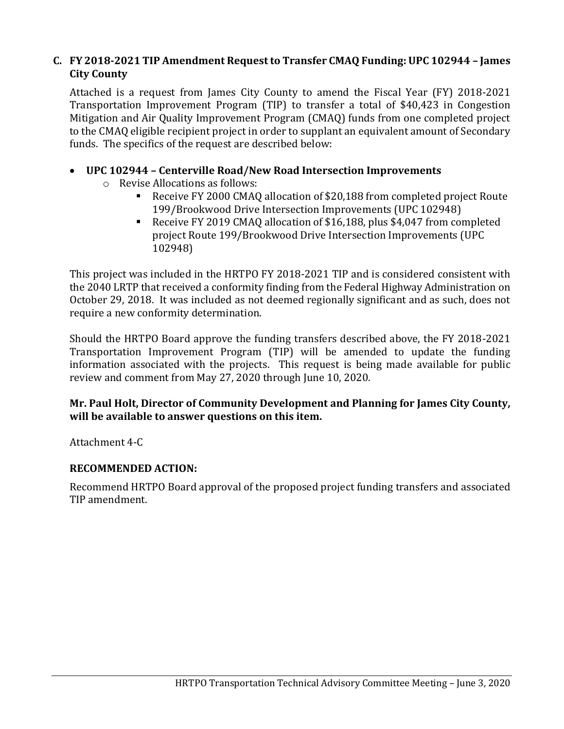# **C. FY 2018-2021 TIP Amendment Request to Transfer CMAQ Funding: UPC 102944 – James City County**

Attached is a request from James City County to amend the Fiscal Year (FY) 2018-2021 Transportation Improvement Program (TIP) to transfer a total of \$40,423 in Congestion Mitigation and Air Quality Improvement Program (CMAQ) funds from one completed project to the CMAQ eligible recipient project in order to supplant an equivalent amount of Secondary funds. The specifics of the request are described below:

# • **UPC 102944 – Centerville Road/New Road Intersection Improvements**

- o Revise Allocations as follows:
	- Receive FY 2000 CMAQ allocation of \$20,188 from completed project Route 199/Brookwood Drive Intersection Improvements (UPC 102948)
	- Receive FY 2019 CMAQ allocation of \$16,188, plus \$4,047 from completed project Route 199/Brookwood Drive Intersection Improvements (UPC 102948)

This project was included in the HRTPO FY 2018-2021 TIP and is considered consistent with the 2040 LRTP that received a conformity finding from the Federal Highway Administration on October 29, 2018. It was included as not deemed regionally significant and as such, does not require a new conformity determination.

Should the HRTPO Board approve the funding transfers described above, the FY 2018-2021 Transportation Improvement Program (TIP) will be amended to update the funding information associated with the projects. This request is being made available for public review and comment from May 27, 2020 through June 10, 2020.

# **Mr. Paul Holt, Director of Community Development and Planning for James City County, will be available to answer questions on this item.**

Attachment 4-C

## **RECOMMENDED ACTION:**

Recommend HRTPO Board approval of the proposed project funding transfers and associated TIP amendment.